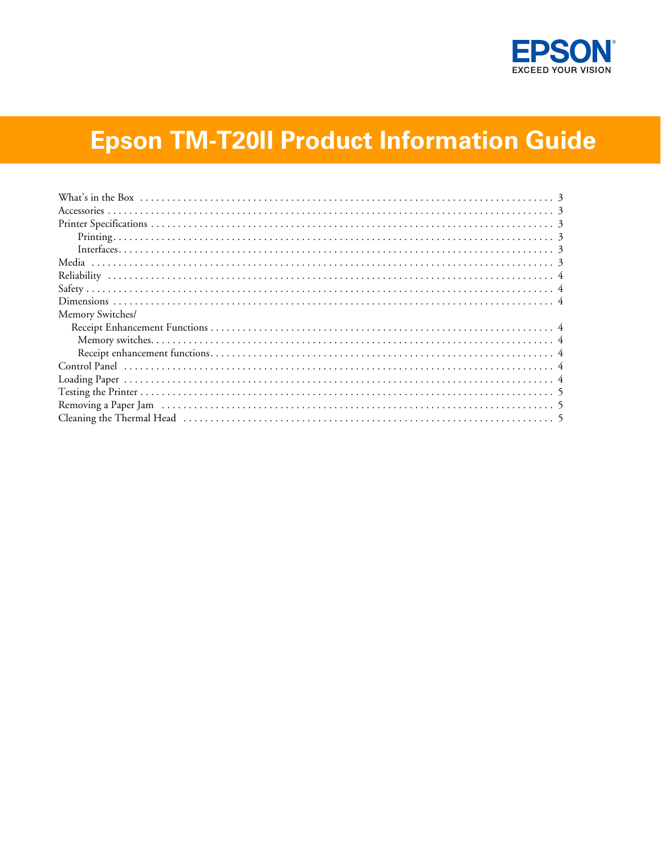

# **Epson TM-T20II Product Information Guide**

| Memory Switches/ |  |
|------------------|--|
|                  |  |
|                  |  |
|                  |  |
|                  |  |
|                  |  |
|                  |  |
|                  |  |
|                  |  |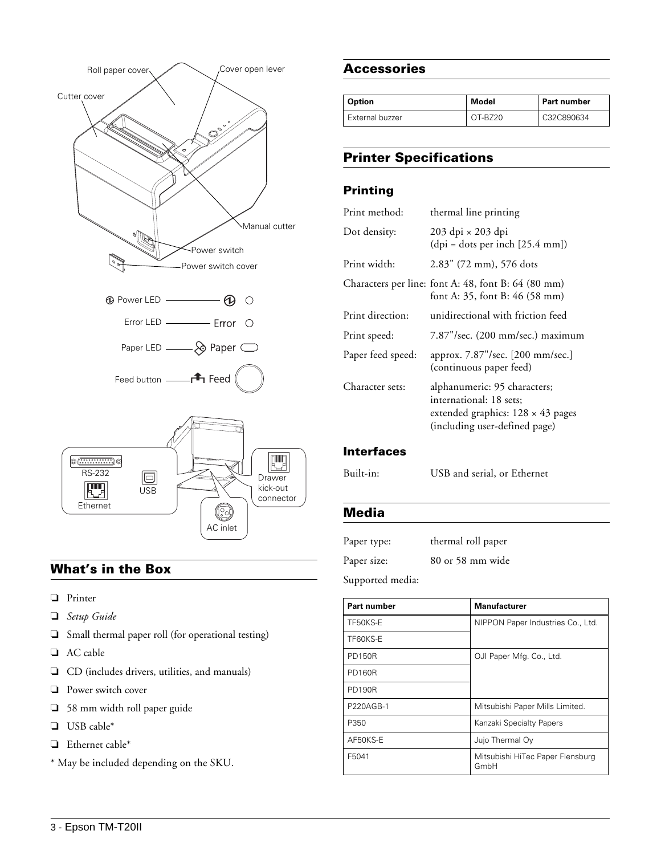

# <span id="page-1-0"></span>**What's in the Box**

- ❏ Printer
- ❏ *Setup Guide*
- ❏ Small thermal paper roll (for operational testing)
- ❏ AC cable
- ❏ CD (includes drivers, utilities, and manuals)
- ❏ Power switch cover
- ❏ 58 mm width roll paper guide
- ❏ USB cable\*
- ❏ Ethernet cable\*
- \* May be included depending on the SKU.

#### <span id="page-1-1"></span>**Accessories**

| Option          | Model   | Part number |
|-----------------|---------|-------------|
| External buzzer | OT-B720 | C32C890634  |

# <span id="page-1-2"></span>**Printer Specifications**

## <span id="page-1-3"></span>**Printing**

| Print method:     | thermal line printing                                                                                                                |
|-------------------|--------------------------------------------------------------------------------------------------------------------------------------|
| Dot density:      | 203 dpi × 203 dpi<br>$(dpi = dots per inch [25.4 mm])$                                                                               |
| Print width:      | 2.83" (72 mm), 576 dots                                                                                                              |
|                   | Characters per line: font A: 48, font B: 64 (80 mm)<br>font A: 35, font B: 46 (58 mm)                                                |
| Print direction:  | unidirectional with friction feed                                                                                                    |
| Print speed:      | $7.87$ "/sec. $(200 \text{ mm/sec.})$ maximum                                                                                        |
| Paper feed speed: | approx. 7.87"/sec. [200 mm/sec.]<br>(continuous paper feed)                                                                          |
| Character sets:   | alphanumeric: 95 characters;<br>international: 18 sets:<br>extended graphics: $128 \times 43$ pages<br>(including user-defined page) |

## <span id="page-1-4"></span>**Interfaces**

Built-in: USB and serial, or Ethernet

## <span id="page-1-5"></span>**Media**

| Paper type: |  | thermal roll paper |
|-------------|--|--------------------|
| Paper size: |  | 80 or 58 mm wide   |
| $\sqrt{2}$  |  |                    |

Supported media:

| Part number   | <b>Manufacturer</b>                      |
|---------------|------------------------------------------|
| TF50KS-E      | NIPPON Paper Industries Co., Ltd.        |
| TF60KS-E      |                                          |
| <b>PD150R</b> | OJI Paper Mfg. Co., Ltd.                 |
| <b>PD160R</b> |                                          |
| <b>PD190R</b> |                                          |
| P220AGB-1     | Mitsubishi Paper Mills Limited.          |
| P350          | Kanzaki Specialty Papers                 |
| AF50KS-E      | Jujo Thermal Oy                          |
| F5041         | Mitsubishi HiTec Paper Flensburg<br>GmbH |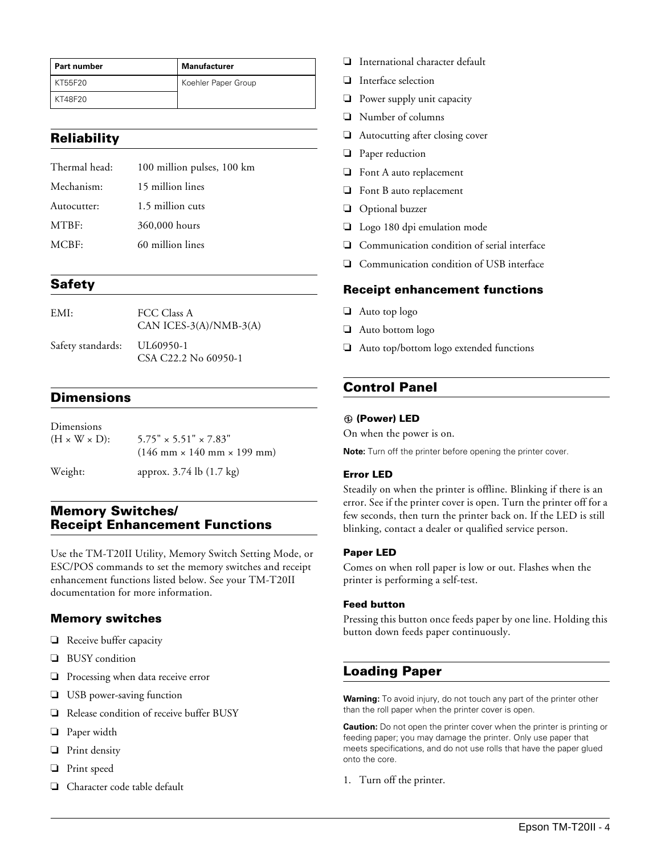| l Part number | <b>Manufacturer</b> |
|---------------|---------------------|
| KT55F20       | Koehler Paper Group |
| KT48F20       |                     |

## <span id="page-2-0"></span>**Reliability**

| Thermal head: | 100 million pulses, 100 km |
|---------------|----------------------------|
| Mechanism:    | 15 million lines           |
| Autocutter:   | 1.5 million cuts           |
| MTBF:         | 360,000 hours              |
| MCBF:         | 60 million lines           |
|               |                            |

## <span id="page-2-1"></span>**Safety**

| EMI:              | FCC Class A<br>CAN ICES-3(A)/NMB-3(A) |
|-------------------|---------------------------------------|
| Safety standards: | UL60950-1<br>CSA C22.2 No 60950-1     |

## <span id="page-2-2"></span>**Dimensions**

| Dimensions                |                                                                                                     |
|---------------------------|-----------------------------------------------------------------------------------------------------|
| $(H \times W \times D)$ : | $5.75" \times 5.51" \times 7.83"$<br>$(146 \text{ mm} \times 140 \text{ mm} \times 199 \text{ mm})$ |
| Weight:                   | approx. 3.74 lb (1.7 kg)                                                                            |

## <span id="page-2-3"></span>**Memory Switches/ Receipt Enhancement Functions**

Use the TM-T20II Utility, Memory Switch Setting Mode, or ESC/POS commands to set the memory switches and receipt enhancement functions listed below. See your TM-T20II documentation for more information.

#### <span id="page-2-4"></span>**Memory switches**

- ❏ Receive buffer capacity
- ❏ BUSY condition
- ❏ Processing when data receive error
- ❏ USB power-saving function
- ❏ Release condition of receive buffer BUSY
- ❏ Paper width
- ❏ Print density
- ❏ Print speed
- ❏ Character code table default
- ❏ International character default
- ❏ Interface selection
- ❏ Power supply unit capacity
- ❏ Number of columns
- ❏ Autocutting after closing cover
- ❏ Paper reduction
- ❏ Font A auto replacement
- ❏ Font B auto replacement
- ❏ Optional buzzer
- ❏ Logo 180 dpi emulation mode
- ❏ Communication condition of serial interface
- ❏ Communication condition of USB interface

#### <span id="page-2-5"></span>**Receipt enhancement functions**

- ❏ Auto top logo
- ❏ Auto bottom logo
- ❏ Auto top/bottom logo extended functions

## <span id="page-2-6"></span>**Control Panel**

#### **(Power) LED**

On when the power is on.

**Note:** Turn off the printer before opening the printer cover.

#### **Error LED**

Steadily on when the printer is offline. Blinking if there is an error. See if the printer cover is open. Turn the printer off for a few seconds, then turn the printer back on. If the LED is still blinking, contact a dealer or qualified service person.

#### **Paper LED**

Comes on when roll paper is low or out. Flashes when the printer is performing a self-test.

#### **Feed button**

Pressing this button once feeds paper by one line. Holding this button down feeds paper continuously.

## <span id="page-2-7"></span>**Loading Paper**

**Warning:** To avoid injury, do not touch any part of the printer other than the roll paper when the printer cover is open.

**Caution:** Do not open the printer cover when the printer is printing or feeding paper; you may damage the printer. Only use paper that meets specifications, and do not use rolls that have the paper glued onto the core.

1. Turn off the printer.